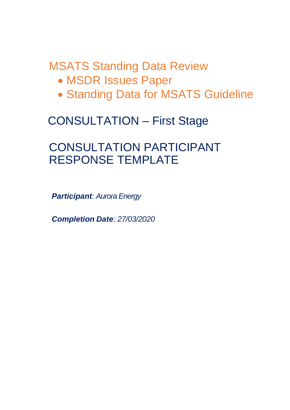MSATS Standing Data Review

- MSDR Issues Paper
- Standing Data for MSATS Guideline

# CONSULTATION – First Stage

# CONSULTATION PARTICIPANT RESPONSE TEMPLATE

*Participant: Aurora Energy*

*Completion Date: 27/03/2020*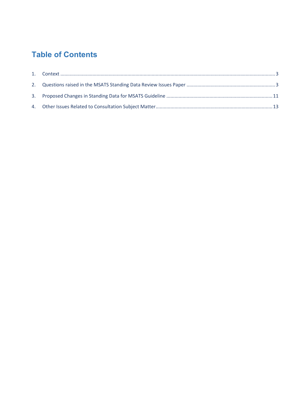# **Table of Contents**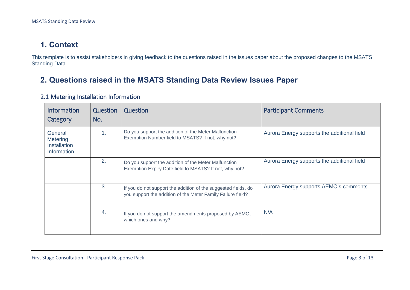## **1. Context**

This template is to assist stakeholders in giving feedback to the questions raised in the issues paper about the proposed changes to the MSATS Standing Data.

### **2. Questions raised in the MSATS Standing Data Review Issues Paper**

<span id="page-2-1"></span><span id="page-2-0"></span>

| <b>Information</b><br>Category                            | Question<br>No. | Question                                                                                                                      | <b>Participant Comments</b>                 |
|-----------------------------------------------------------|-----------------|-------------------------------------------------------------------------------------------------------------------------------|---------------------------------------------|
| General<br>Metering<br><b>Installation</b><br>Information | 1.              | Do you support the addition of the Meter Malfunction<br>Exemption Number field to MSATS? If not, why not?                     | Aurora Energy supports the additional field |
|                                                           | 2.              | Do you support the addition of the Meter Malfunction<br>Exemption Expiry Date field to MSATS? If not, why not?                | Aurora Energy supports the additional field |
|                                                           | 3.              | If you do not support the addition of the suggested fields, do<br>you support the addition of the Meter Family Failure field? | Aurora Energy supports AEMO's comments      |
|                                                           | 4.              | If you do not support the amendments proposed by AEMO,<br>which ones and why?                                                 | N/A                                         |

#### 2.1 Metering Installation Information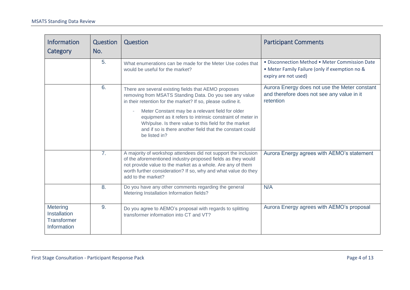| <b>Information</b><br>Category                                       | Question<br>No. | <b>Question</b>                                                                                                                                                                                                                                                                                                                                                                                                                         | <b>Participant Comments</b>                                                                                              |
|----------------------------------------------------------------------|-----------------|-----------------------------------------------------------------------------------------------------------------------------------------------------------------------------------------------------------------------------------------------------------------------------------------------------------------------------------------------------------------------------------------------------------------------------------------|--------------------------------------------------------------------------------------------------------------------------|
|                                                                      | 5.              | What enumerations can be made for the Meter Use codes that<br>would be useful for the market?                                                                                                                                                                                                                                                                                                                                           | • Disconnection Method • Meter Commission Date<br>• Meter Family Failure (only if exemption no &<br>expiry are not used) |
|                                                                      | 6.              | There are several existing fields that AEMO proposes<br>removing from MSATS Standing Data. Do you see any value<br>in their retention for the market? If so, please outline it.<br>Meter Constant may be a relevant field for older<br>equipment as it refers to intrinsic constraint of meter in<br>Wh/pulse. Is there value to this field for the market<br>and if so is there another field that the constant could<br>be listed in? | Aurora Energy does not use the Meter constant<br>and therefore does not see any value in it<br>retention                 |
|                                                                      | 7 <sub>1</sub>  | A majority of workshop attendees did not support the inclusion<br>of the aforementioned industry-proposed fields as they would<br>not provide value to the market as a whole. Are any of them<br>worth further consideration? If so, why and what value do they<br>add to the market?                                                                                                                                                   | Aurora Energy agrees with AEMO's statement                                                                               |
|                                                                      | 8.              | Do you have any other comments regarding the general<br>Metering Installation Information fields?                                                                                                                                                                                                                                                                                                                                       | N/A                                                                                                                      |
| <b>Metering</b><br>Installation<br><b>Transformer</b><br>Information | 9.              | Do you agree to AEMO's proposal with regards to splitting<br>transformer information into CT and VT?                                                                                                                                                                                                                                                                                                                                    | Aurora Energy agrees with AEMO's proposal                                                                                |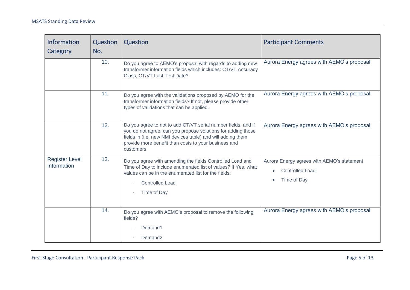| Information<br>Category              | <b>Question</b><br>No. | Question                                                                                                                                                                                                                                                          | <b>Participant Comments</b>                                                                      |
|--------------------------------------|------------------------|-------------------------------------------------------------------------------------------------------------------------------------------------------------------------------------------------------------------------------------------------------------------|--------------------------------------------------------------------------------------------------|
|                                      | 10.                    | Do you agree to AEMO's proposal with regards to adding new<br>transformer information fields which includes: CT/VT Accuracy<br>Class, CT/VT Last Test Date?                                                                                                       | Aurora Energy agrees with AEMO's proposal                                                        |
|                                      | 11.                    | Do you agree with the validations proposed by AEMO for the<br>transformer information fields? If not, please provide other<br>types of validations that can be applied.                                                                                           | Aurora Energy agrees with AEMO's proposal                                                        |
|                                      | 12.                    | Do you agree to not to add CT/VT serial number fields, and if<br>you do not agree, can you propose solutions for adding those<br>fields in (i.e. new NMI devices table) and will adding them<br>provide more benefit than costs to your business and<br>customers | Aurora Energy agrees with AEMO's proposal                                                        |
| <b>Register Level</b><br>Information | 13.                    | Do you agree with amending the fields Controlled Load and<br>Time of Day to include enumerated list of values? If Yes, what<br>values can be in the enumerated list for the fields:<br><b>Controlled Load</b><br>Time of Day                                      | Aurora Energy agrees with AEMO's statement<br><b>Controlled Load</b><br>Time of Day<br>$\bullet$ |
|                                      | 14.                    | Do you agree with AEMO's proposal to remove the following<br>fields?<br>Demand1<br>Demand <sub>2</sub>                                                                                                                                                            | Aurora Energy agrees with AEMO's proposal                                                        |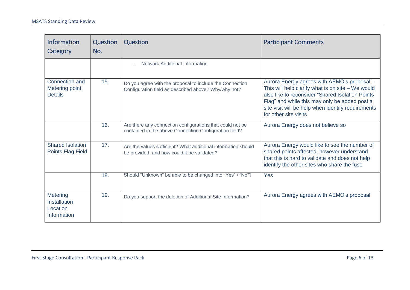| <b>Information</b><br>Category                             | Question<br>No. | <b>Question</b>                                                                                                     | <b>Participant Comments</b>                                                                                                                                                                                                                                                            |
|------------------------------------------------------------|-----------------|---------------------------------------------------------------------------------------------------------------------|----------------------------------------------------------------------------------------------------------------------------------------------------------------------------------------------------------------------------------------------------------------------------------------|
|                                                            |                 | <b>Network Additional Information</b>                                                                               |                                                                                                                                                                                                                                                                                        |
| Connection and<br>Metering point<br><b>Details</b>         | 15.             | Do you agree with the proposal to include the Connection<br>Configuration field as described above? Why/why not?    | Aurora Energy agrees with AEMO's proposal -<br>This will help clarify what is on site $-$ We would<br>also like to reconsider "Shared Isolation Points<br>Flag" and while this may only be added post a<br>site visit will be help when identify requirements<br>for other site visits |
|                                                            | 16.             | Are there any connection configurations that could not be<br>contained in the above Connection Configuration field? | Aurora Energy does not believe so                                                                                                                                                                                                                                                      |
| <b>Shared Isolation</b><br><b>Points Flag Field</b>        | 17.             | Are the values sufficient? What additional information should<br>be provided, and how could it be validated?        | Aurora Energy would like to see the number of<br>shared points affected, however understand<br>that this is hard to validate and does not help<br>identify the other sites who share the fuse                                                                                          |
|                                                            | 18.             | Should "Unknown" be able to be changed into "Yes" / "No"?                                                           | Yes                                                                                                                                                                                                                                                                                    |
| <b>Metering</b><br>Installation<br>Location<br>Information | 19.             | Do you support the deletion of Additional Site Information?                                                         | Aurora Energy agrees with AEMO's proposal                                                                                                                                                                                                                                              |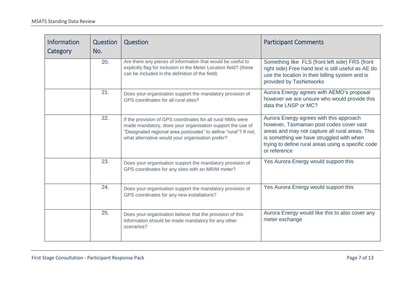| Information<br>Category | Question<br>No. | <b>Question</b>                                                                                                                                                                                                                                 | <b>Participant Comments</b>                                                                                                                                                                                                                              |
|-------------------------|-----------------|-------------------------------------------------------------------------------------------------------------------------------------------------------------------------------------------------------------------------------------------------|----------------------------------------------------------------------------------------------------------------------------------------------------------------------------------------------------------------------------------------------------------|
|                         | 20.             | Are there any pieces of information that would be useful to<br>explicitly flag for inclusion in the Meter Location field? (these<br>can be included in the definition of the field)                                                             | Something like FLS (front left side) FRS (front<br>right side) Free hand text is still useful as AE do<br>use the location in their billing system and is<br>provided by TasNetworks                                                                     |
|                         | 21.             | Does your organisation support the mandatory provision of<br>GPS coordinates for all rural sites?                                                                                                                                               | Aurora Energy agrees with AEMO's proposal<br>however we are unsure who would provide this<br>data the LNSP or MC?                                                                                                                                        |
|                         | 22.             | If the provision of GPS coordinates for all rural NMIs were<br>made mandatory, does your organisation support the use of<br>"Designated regional area postcodes" to define "rural"? If not,<br>what alternative would your organisation prefer? | Aurora Energy agrees with this approach<br>however, Tasmanian post codes cover vast<br>areas and may not capture all rural areas. This<br>is something we have struggled with when<br>trying to define rural areas using a specific code<br>or reference |
|                         | 23.             | Does your organisation support the mandatory provision of<br>GPS coordinates for any sites with an MRIM meter?                                                                                                                                  | Yes Aurora Energy would support this                                                                                                                                                                                                                     |
|                         | 24.             | Does your organisation support the mandatory provision of<br>GPS coordinates for any new installations?                                                                                                                                         | Yes Aurora Energy would support this                                                                                                                                                                                                                     |
|                         | 25.             | Does your organisation believe that the provision of this<br>information should be made mandatory for any other<br>scenarios?                                                                                                                   | Aurora Energy would like this to also cover any<br>meter exchange                                                                                                                                                                                        |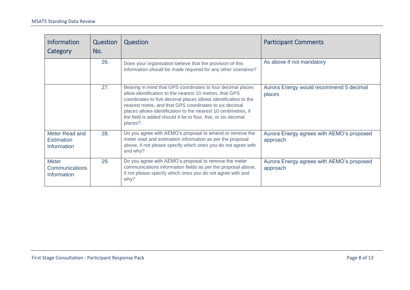| <b>Information</b><br><b>Category</b>                | <b>Question</b><br>No. | Question                                                                                                                                                                                                                                                                                                                                                                                          | <b>Participant Comments</b>                           |
|------------------------------------------------------|------------------------|---------------------------------------------------------------------------------------------------------------------------------------------------------------------------------------------------------------------------------------------------------------------------------------------------------------------------------------------------------------------------------------------------|-------------------------------------------------------|
|                                                      | 26.                    | Does your organisation believe that the provision of this<br>information should be made required for any other scenarios?                                                                                                                                                                                                                                                                         | As above if not mandatory                             |
|                                                      | 27.                    | Bearing in mind that GPS coordinates to four decimal places<br>allow identification to the nearest 10 metres, that GPS<br>coordinates to five decimal places allows identification to the<br>nearest metre, and that GPS coordinates to six decimal<br>places allows identification to the nearest 10 centimetres, if<br>the field is added should it be to four, five, or six decimal<br>places? | Aurora Energy would recommend 5 decimal<br>places     |
| Meter Read and<br><b>Estimation</b><br>Information   | 28.                    | Do you agree with AEMO's proposal to amend or remove the<br>meter read and estimation information as per the proposal<br>above, if not please specify which ones you do not agree with<br>and why?                                                                                                                                                                                                | Aurora Energy agrees with AEMO's proposed<br>approach |
| <b>Meter</b><br><b>Communications</b><br>Information | 29.                    | Do you agree with AEMO's proposal to remove the meter<br>communications information fields as per the proposal above,<br>if not please specify which ones you do not agree with and<br>why?                                                                                                                                                                                                       | Aurora Energy agrees with AEMO's proposed<br>approach |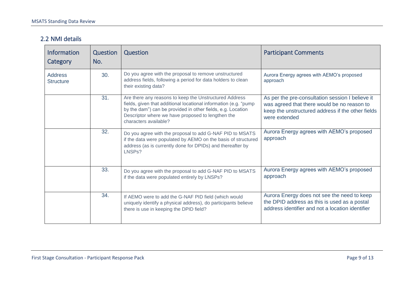#### 2.2 NMI details

| <b>Information</b><br>Category     | Question<br>No. | <b>Question</b>                                                                                                                                                                                                                                                         | <b>Participant Comments</b>                                                                                                                                           |
|------------------------------------|-----------------|-------------------------------------------------------------------------------------------------------------------------------------------------------------------------------------------------------------------------------------------------------------------------|-----------------------------------------------------------------------------------------------------------------------------------------------------------------------|
| <b>Address</b><br><b>Structure</b> | 30.             | Do you agree with the proposal to remove unstructured<br>address fields, following a period for data holders to clean<br>their existing data?                                                                                                                           | Aurora Energy agrees with AEMO's proposed<br>approach                                                                                                                 |
|                                    | 31.             | Are there any reasons to keep the Unstructured Address<br>fields, given that additional locational information (e.g. "pump<br>by the dam") can be provided in other fields, e.g. Location<br>Descriptor where we have proposed to lengthen the<br>characters available? | As per the pre-consultation session I believe it<br>was agreed that there would be no reason to<br>keep the unstructured address if the other fields<br>were extended |
|                                    | 32.             | Do you agree with the proposal to add G-NAF PID to MSATS<br>if the data were populated by AEMO on the basis of structured<br>address (as is currently done for DPIDs) and thereafter by<br>LNSP <sub>s</sub> ?                                                          | Aurora Energy agrees with AEMO's proposed<br>approach                                                                                                                 |
|                                    | 33.             | Do you agree with the proposal to add G-NAF PID to MSATS<br>if the data were populated entirely by LNSPs?                                                                                                                                                               | Aurora Energy agrees with AEMO's proposed<br>approach                                                                                                                 |
|                                    | 34.             | If AEMO were to add the G-NAF PID field (which would<br>uniquely identify a physical address), do participants believe<br>there is use in keeping the DPID field?                                                                                                       | Aurora Energy does not see the need to keep<br>the DPID address as this is used as a postal<br>address identifier and not a location identifier                       |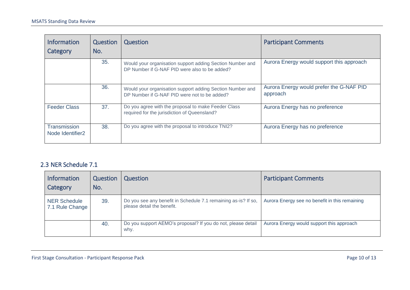| <b>Information</b><br>Category                      | Question<br>No. | Question                                                                                                   | <b>Participant Comments</b>                          |
|-----------------------------------------------------|-----------------|------------------------------------------------------------------------------------------------------------|------------------------------------------------------|
|                                                     | 35.             | Would your organisation support adding Section Number and<br>DP Number if G-NAF PID were also to be added? | Aurora Energy would support this approach            |
|                                                     | 36.             | Would your organisation support adding Section Number and<br>DP Number if G-NAF PID were not to be added?  | Aurora Energy would prefer the G-NAF PID<br>approach |
| <b>Feeder Class</b>                                 | 37.             | Do you agree with the proposal to make Feeder Class<br>required for the jurisdiction of Queensland?        | Aurora Energy has no preference                      |
| <b>Transmission</b><br>Node Identifier <sub>2</sub> | 38.             | Do you agree with the proposal to introduce TNI2?                                                          | Aurora Energy has no preference                      |

#### 2.3 NER Schedule 7.1

| <b>Information</b><br>Category         | Question<br>No. | Question                                                                                     | <b>Participant Comments</b>                    |
|----------------------------------------|-----------------|----------------------------------------------------------------------------------------------|------------------------------------------------|
| <b>NER Schedule</b><br>7.1 Rule Change | 39.             | Do you see any benefit in Schedule 7.1 remaining as-is? If so,<br>please detail the benefit. | Aurora Energy see no benefit in this remaining |
|                                        | 40.             | Do you support AEMO's proposal? If you do not, please detail<br>why.                         | Aurora Energy would support this approach      |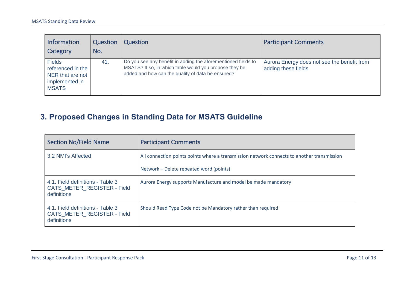| <b>Information</b><br>Category                                                           | Question<br>No. | Question                                                                                                                                                                     | <b>Participant Comments</b>                                        |
|------------------------------------------------------------------------------------------|-----------------|------------------------------------------------------------------------------------------------------------------------------------------------------------------------------|--------------------------------------------------------------------|
| <b>Fields</b><br>referenced in the<br>NER that are not<br>implemented in<br><b>MSATS</b> | 41.             | Do you see any benefit in adding the aforementioned fields to<br>MSATS? If so, in which table would you propose they be<br>added and how can the quality of data be ensured? | Aurora Energy does not see the benefit from<br>adding these fields |

# **3. Proposed Changes in Standing Data for MSATS Guideline**

<span id="page-10-0"></span>

| <b>Section No/Field Name</b>                                                   | <b>Participant Comments</b>                                                                |
|--------------------------------------------------------------------------------|--------------------------------------------------------------------------------------------|
| 3.2 NMI's Affected                                                             | All connection points points where a transmission network connects to another transmission |
|                                                                                | Network – Delete repeated word (points)                                                    |
| 4.1. Field definitions - Table 3<br>CATS METER REGISTER - Field<br>definitions | Aurora Energy supports Manufacture and model be made mandatory                             |
| 4.1. Field definitions - Table 3<br>CATS METER REGISTER - Field<br>definitions | Should Read Type Code not be Mandatory rather than required                                |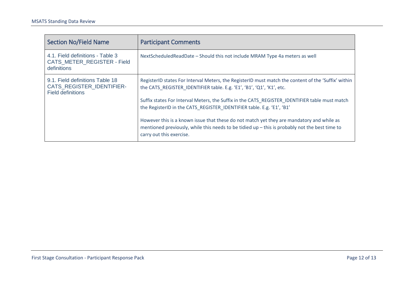| <b>Section No/Field Name</b>                                                                    | <b>Participant Comments</b>                                                                                                                                                                                                                                                                                                                                                                                                                                                                                                                                                        |
|-------------------------------------------------------------------------------------------------|------------------------------------------------------------------------------------------------------------------------------------------------------------------------------------------------------------------------------------------------------------------------------------------------------------------------------------------------------------------------------------------------------------------------------------------------------------------------------------------------------------------------------------------------------------------------------------|
| 4.1. Field definitions - Table 3<br>CATS METER REGISTER - Field<br>definitions                  | NextScheduledReadDate - Should this not include MRAM Type 4a meters as well                                                                                                                                                                                                                                                                                                                                                                                                                                                                                                        |
| 9.1. Field definitions Table 18<br><b>CATS REGISTER IDENTIFIER-</b><br><b>Field definitions</b> | RegisterID states For Interval Meters, the RegisterID must match the content of the 'Suffix' within<br>the CATS REGISTER IDENTIFIER table. E.g. 'E1', 'B1', 'Q1', 'K1', etc.<br>Suffix states For Interval Meters, the Suffix in the CATS REGISTER IDENTIFIER table must match<br>the RegisterID in the CATS REGISTER IDENTIFIER table. E.g. 'E1', 'B1'<br>However this is a known issue that these do not match yet they are mandatory and while as<br>mentioned previously, while this needs to be tidied up - this is probably not the best time to<br>carry out this exercise. |